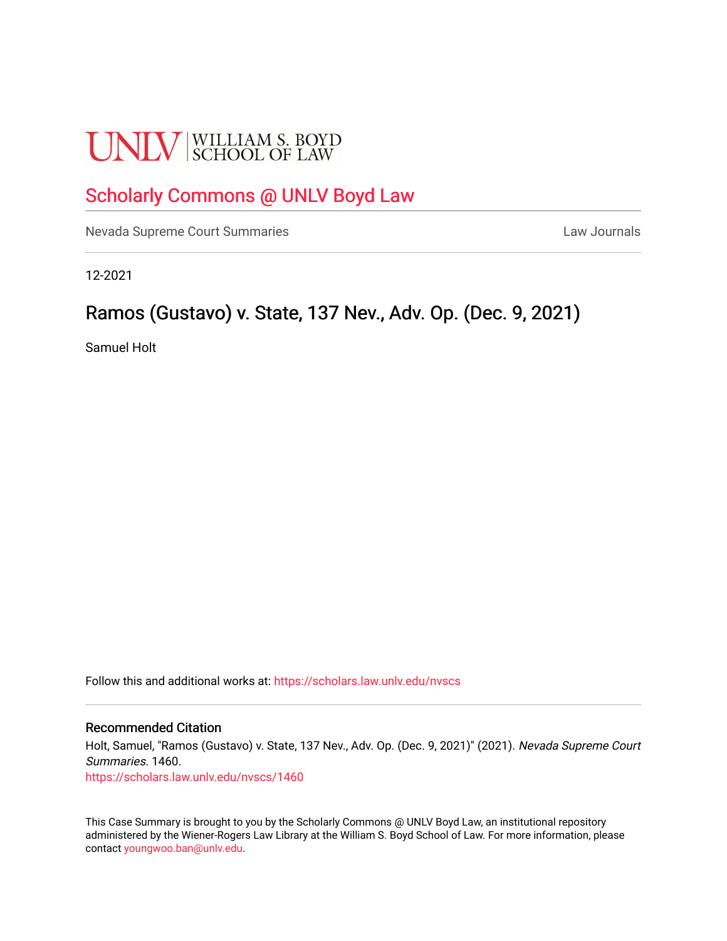# **UNLV** SCHOOL OF LAW

# [Scholarly Commons @ UNLV Boyd Law](https://scholars.law.unlv.edu/)

[Nevada Supreme Court Summaries](https://scholars.law.unlv.edu/nvscs) **Law Journals** Law Journals

12-2021

# Ramos (Gustavo) v. State, 137 Nev., Adv. Op. (Dec. 9, 2021)

Samuel Holt

Follow this and additional works at: [https://scholars.law.unlv.edu/nvscs](https://scholars.law.unlv.edu/nvscs?utm_source=scholars.law.unlv.edu%2Fnvscs%2F1460&utm_medium=PDF&utm_campaign=PDFCoverPages)

#### Recommended Citation

Holt, Samuel, "Ramos (Gustavo) v. State, 137 Nev., Adv. Op. (Dec. 9, 2021)" (2021). Nevada Supreme Court Summaries. 1460.

[https://scholars.law.unlv.edu/nvscs/1460](https://scholars.law.unlv.edu/nvscs/1460?utm_source=scholars.law.unlv.edu%2Fnvscs%2F1460&utm_medium=PDF&utm_campaign=PDFCoverPages) 

This Case Summary is brought to you by the Scholarly Commons @ UNLV Boyd Law, an institutional repository administered by the Wiener-Rogers Law Library at the William S. Boyd School of Law. For more information, please contact [youngwoo.ban@unlv.edu](mailto:youngwoo.ban@unlv.edu).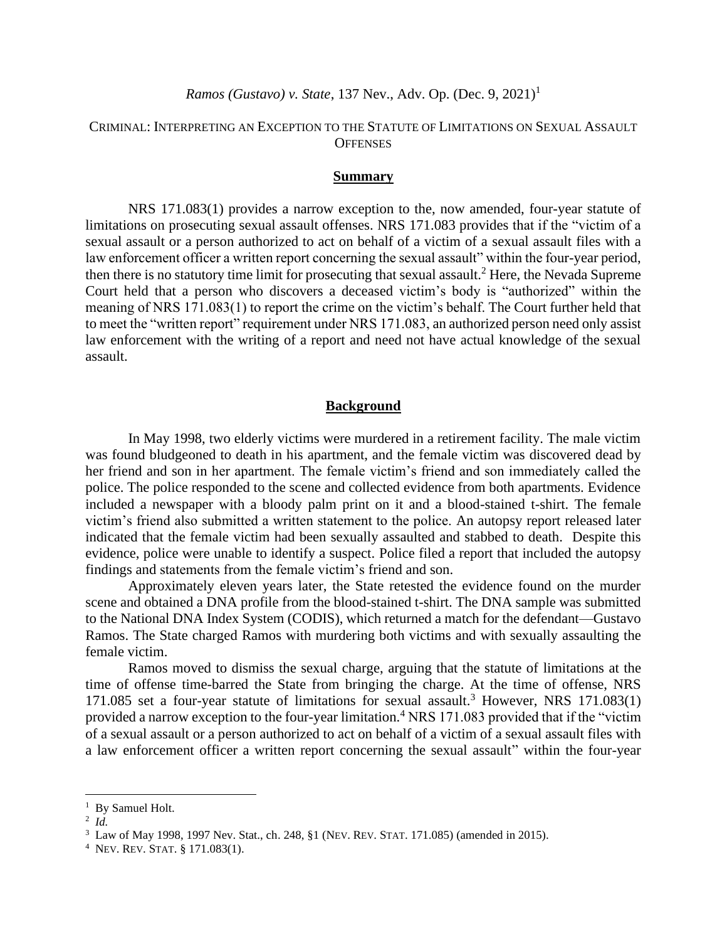## CRIMINAL: INTERPRETING AN EXCEPTION TO THE STATUTE OF LIMITATIONS ON SEXUAL ASSAULT **OFFENSES**

#### **Summary**

NRS 171.083(1) provides a narrow exception to the, now amended, four-year statute of limitations on prosecuting sexual assault offenses. NRS 171.083 provides that if the "victim of a sexual assault or a person authorized to act on behalf of a victim of a sexual assault files with a law enforcement officer a written report concerning the sexual assault" within the four-year period, then there is no statutory time limit for prosecuting that sexual assault.<sup>2</sup> Here, the Nevada Supreme Court held that a person who discovers a deceased victim's body is "authorized" within the meaning of NRS 171.083(1) to report the crime on the victim's behalf. The Court further held that to meet the "written report" requirement under NRS 171.083, an authorized person need only assist law enforcement with the writing of a report and need not have actual knowledge of the sexual assault.

#### **Background**

In May 1998, two elderly victims were murdered in a retirement facility. The male victim was found bludgeoned to death in his apartment, and the female victim was discovered dead by her friend and son in her apartment. The female victim's friend and son immediately called the police. The police responded to the scene and collected evidence from both apartments. Evidence included a newspaper with a bloody palm print on it and a blood-stained t-shirt. The female victim's friend also submitted a written statement to the police. An autopsy report released later indicated that the female victim had been sexually assaulted and stabbed to death. Despite this evidence, police were unable to identify a suspect. Police filed a report that included the autopsy findings and statements from the female victim's friend and son.

Approximately eleven years later, the State retested the evidence found on the murder scene and obtained a DNA profile from the blood-stained t-shirt. The DNA sample was submitted to the National DNA Index System (CODIS), which returned a match for the defendant—Gustavo Ramos. The State charged Ramos with murdering both victims and with sexually assaulting the female victim.

Ramos moved to dismiss the sexual charge, arguing that the statute of limitations at the time of offense time-barred the State from bringing the charge. At the time of offense, NRS 171.085 set a four-year statute of limitations for sexual assault.<sup>3</sup> However, NRS 171.083(1) provided a narrow exception to the four-year limitation.<sup>4</sup> NRS 171.083 provided that if the "victim of a sexual assault or a person authorized to act on behalf of a victim of a sexual assault files with a law enforcement officer a written report concerning the sexual assault" within the four-year

<sup>&</sup>lt;sup>1</sup> By Samuel Holt.

<sup>2</sup> *Id.*

<sup>3</sup> Law of May 1998, 1997 Nev. Stat., ch. 248, §1 (NEV. REV. STAT. 171.085) (amended in 2015).

<sup>4</sup> NEV. REV. STAT. § 171.083(1).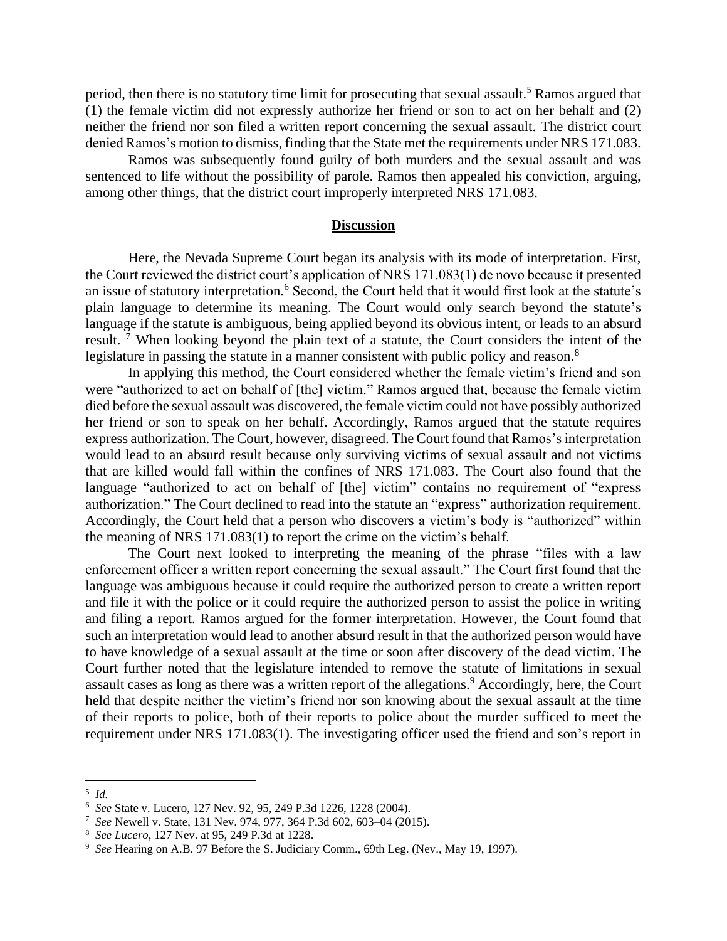period, then there is no statutory time limit for prosecuting that sexual assault.<sup>5</sup> Ramos argued that (1) the female victim did not expressly authorize her friend or son to act on her behalf and (2) neither the friend nor son filed a written report concerning the sexual assault. The district court denied Ramos's motion to dismiss, finding that the State met the requirements under NRS 171.083.

Ramos was subsequently found guilty of both murders and the sexual assault and was sentenced to life without the possibility of parole. Ramos then appealed his conviction, arguing, among other things, that the district court improperly interpreted NRS 171.083.

### **Discussion**

Here, the Nevada Supreme Court began its analysis with its mode of interpretation. First, the Court reviewed the district court's application of NRS 171.083(1) de novo because it presented an issue of statutory interpretation.<sup>6</sup> Second, the Court held that it would first look at the statute's plain language to determine its meaning. The Court would only search beyond the statute's language if the statute is ambiguous, being applied beyond its obvious intent, or leads to an absurd result. <sup>7</sup> When looking beyond the plain text of a statute, the Court considers the intent of the legislature in passing the statute in a manner consistent with public policy and reason.<sup>8</sup>

In applying this method, the Court considered whether the female victim's friend and son were "authorized to act on behalf of [the] victim." Ramos argued that, because the female victim died before the sexual assault was discovered, the female victim could not have possibly authorized her friend or son to speak on her behalf. Accordingly, Ramos argued that the statute requires express authorization. The Court, however, disagreed. The Court found that Ramos's interpretation would lead to an absurd result because only surviving victims of sexual assault and not victims that are killed would fall within the confines of NRS 171.083. The Court also found that the language "authorized to act on behalf of [the] victim" contains no requirement of "express authorization." The Court declined to read into the statute an "express" authorization requirement. Accordingly, the Court held that a person who discovers a victim's body is "authorized" within the meaning of NRS 171.083(1) to report the crime on the victim's behalf.

The Court next looked to interpreting the meaning of the phrase "files with a law enforcement officer a written report concerning the sexual assault." The Court first found that the language was ambiguous because it could require the authorized person to create a written report and file it with the police or it could require the authorized person to assist the police in writing and filing a report. Ramos argued for the former interpretation. However, the Court found that such an interpretation would lead to another absurd result in that the authorized person would have to have knowledge of a sexual assault at the time or soon after discovery of the dead victim. The Court further noted that the legislature intended to remove the statute of limitations in sexual assault cases as long as there was a written report of the allegations. <sup>9</sup> Accordingly, here, the Court held that despite neither the victim's friend nor son knowing about the sexual assault at the time of their reports to police, both of their reports to police about the murder sufficed to meet the requirement under NRS 171.083(1). The investigating officer used the friend and son's report in

<sup>5</sup> *Id.*

<sup>6</sup> *See* State v. Lucero, 127 Nev. 92, 95, 249 P.3d 1226, 1228 (2004).

<sup>7</sup> *See* Newell v. State, 131 Nev. 974, 977, 364 P.3d 602, 603–04 (2015).

<sup>8</sup> *See Lucero*, 127 Nev. at 95, 249 P.3d at 1228.

<sup>9</sup> *See* Hearing on A.B. 97 Before the S. Judiciary Comm., 69th Leg. (Nev., May 19, 1997).